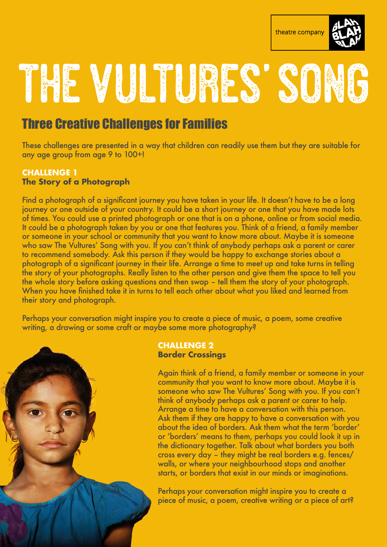

# THE VUITURES' SON

## Three Creative Challenges for Families

These challenges are presented in a way that children can readily use them but they are suitable for any age group from age 9 to 100+!

#### **CHALLENGE 1 The Story of a Photograph**

Find a photograph of a significant journey you have taken in your life. It doesn't have to be a long journey or one outside of your country. It could be a short journey or one that you have made lots of times. You could use a printed photograph or one that is on a phone, online or from social media. It could be a photograph taken by you or one that features you. Think of a friend, a family member or someone in your school or community that you want to know more about. Maybe it is someone who saw The Vultures' Song with you. If you can't think of anybody perhaps ask a parent or carer to recommend somebody. Ask this person if they would be happy to exchange stories about a photograph of a significant journey in their life. Arrange a time to meet up and take turns in telling the story of your photographs. Really listen to the other person and give them the space to tell you the whole story before asking questions and then swap – tell them the story of your photograph. When you have finished take it in turns to tell each other about what you liked and learned from their story and photograph.

Perhaps your conversation might inspire you to create a piece of music, a poem, some creative writing, a drawing or some craft or maybe some more photography?



#### **CHALLENGE 2 Border Crossings**

Again think of a friend, a family member or someone in your community that you want to know more about. Maybe it is someone who saw The Vultures' Song with you. If you can't think of anybody perhaps ask a parent or carer to help. Arrange a time to have a conversation with this person. Ask them if they are happy to have a conversation with you about the idea of borders. Ask them what the term 'border' or 'borders' means to them, perhaps you could look it up in the dictionary together. Talk about what borders you both cross every day – they might be real borders e.g. fences/ walls, or where your neighbourhood stops and another starts, or borders that exist in our minds or imaginations.

Perhaps your conversation might inspire you to create a piece of music, a poem, creative writing or a piece of art?